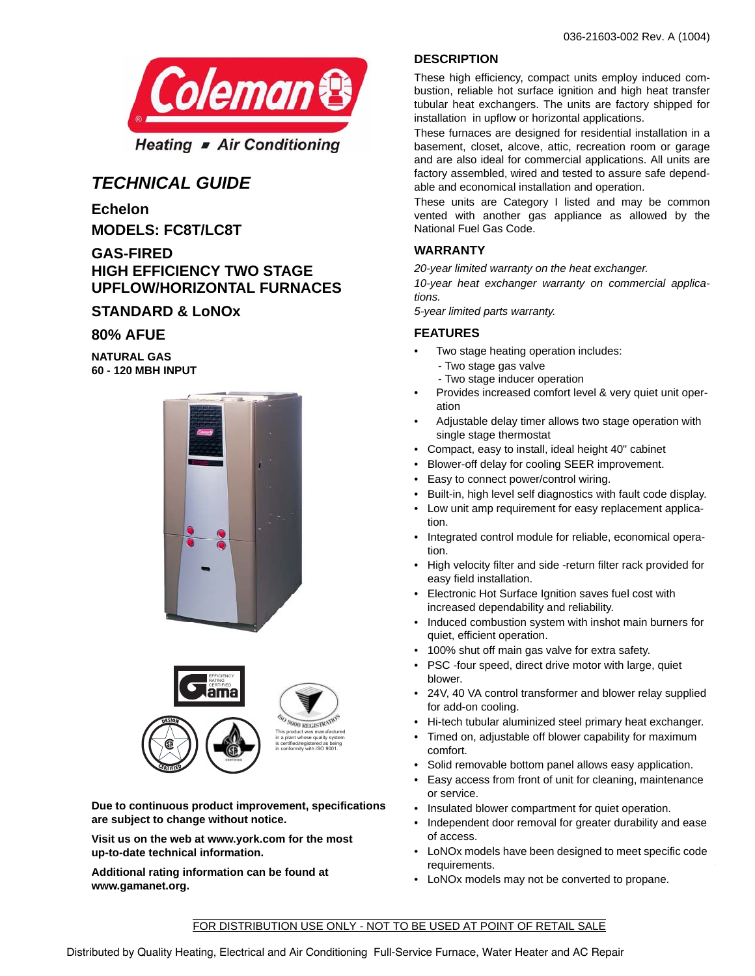

# *TECHNICAL GUIDE*

**Echelon MODELS: FC8T/LC8T**

**GAS-FIRED HIGH EFFICIENCY TWO STAGE UPFLOW/HORIZONTAL FURNACES**

## **STANDARD & LoNOx**

## **80% AFUE**

**NATURAL GAS 60 - 120 MBH INPUT**





**Due to continuous product improvement, specifications are subject to change without notice.**

**Visit us on the web at www.york.com for the most up-to-date technical information.**

**Additional rating information can be found at www.gamanet.org.**

## **DESCRIPTION**

These high efficiency, compact units employ induced combustion, reliable hot surface ignition and high heat transfer tubular heat exchangers. The units are factory shipped for installation in upflow or horizontal applications.

These furnaces are designed for residential installation in a basement, closet, alcove, attic, recreation room or garage and are also ideal for commercial applications. All units are factory assembled, wired and tested to assure safe dependable and economical installation and operation.

These units are Category I listed and may be common vented with another gas appliance as allowed by the National Fuel Gas Code.

## **WARRANTY**

*20-year limited warranty on the heat exchanger.*

*10-year heat exchanger warranty on commercial applications.*

*5-year limited parts warranty.*

### **FEATURES**

- Two stage heating operation includes:
	- Two stage gas valve
	- Two stage inducer operation
- Provides increased comfort level & very quiet unit operation
- Adjustable delay timer allows two stage operation with single stage thermostat
- Compact, easy to install, ideal height 40" cabinet
- Blower-off delay for cooling SEER improvement.
- Easy to connect power/control wiring.
- Built-in, high level self diagnostics with fault code display.
- Low unit amp requirement for easy replacement application.
- Integrated control module for reliable, economical operation.
- High velocity filter and side -return filter rack provided for easy field installation.
- Electronic Hot Surface Ignition saves fuel cost with increased dependability and reliability.
- Induced combustion system with inshot main burners for quiet, efficient operation.
- 100% shut off main gas valve for extra safety.
- PSC -four speed, direct drive motor with large, quiet blower.
- 24V, 40 VA control transformer and blower relay supplied for add-on cooling.
- Hi-tech tubular aluminized steel primary heat exchanger.
- Timed on, adjustable off blower capability for maximum comfort.
- Solid removable bottom panel allows easy application.
- Easy access from front of unit for cleaning, maintenance or service.
- Insulated blower compartment for quiet operation.
- Independent door removal for greater durability and ease of access.
- LoNOx models have been designed to meet specific code requirements.

T

• LoNOx models may not be converted to propane.

### FOR DISTRIBUTION USE ONLY - NOT TO BE USED AT POINT OF RETAIL SALE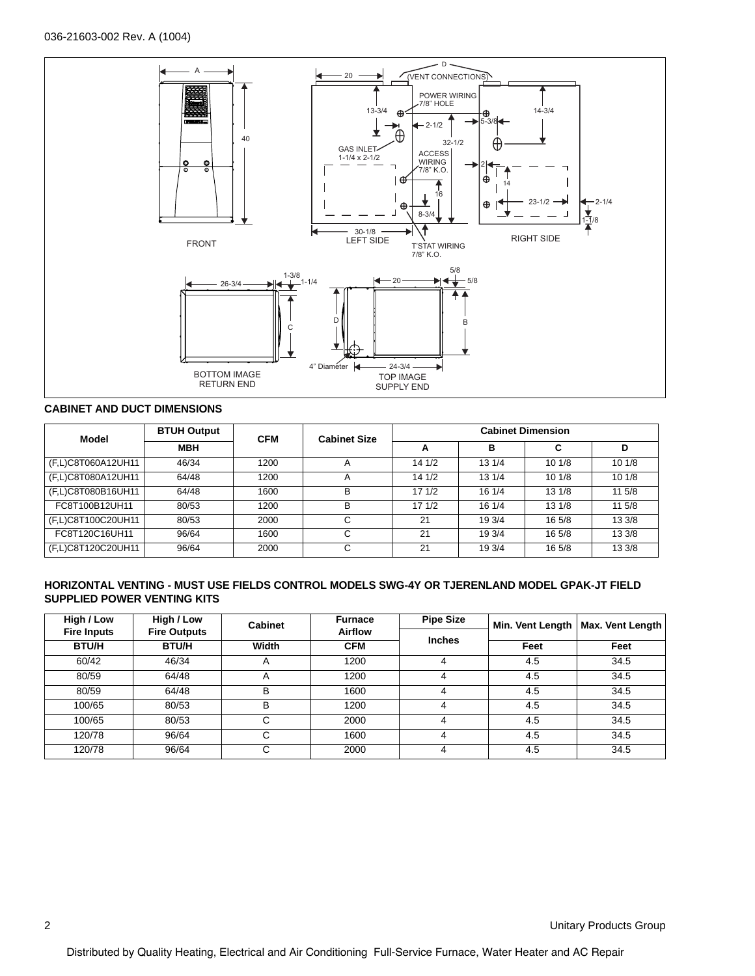

## **CABINET AND DUCT DIMENSIONS**

| Model              | <b>BTUH Output</b> | <b>CFM</b> | <b>Cabinet Size</b> | <b>Cabinet Dimension</b> |        |        |        |  |
|--------------------|--------------------|------------|---------------------|--------------------------|--------|--------|--------|--|
|                    | <b>MBH</b>         |            |                     | A                        | в      | C      | D      |  |
| (F,L)C8T060A12UH11 | 46/34              | 1200       |                     | 141/2                    | 13 1/4 | 101/8  | 101/8  |  |
| (F,L)C8T080A12UH11 | 64/48              | 1200       |                     | 141/2                    | 13 1/4 | 101/8  | 101/8  |  |
| (F,L)C8T080B16UH11 | 64/48              | 1600       | B                   | 171/2                    | 16 1/4 | 131/8  | 11 5/8 |  |
| FC8T100B12UH11     | 80/53              | 1200       | B                   | 171/2                    | 16 1/4 | 131/8  | 11 5/8 |  |
| (F,L)C8T100C20UH11 | 80/53              | 2000       |                     | 21                       | 19 3/4 | 16 5/8 | 13 3/8 |  |
| FC8T120C16UH11     | 96/64              | 1600       | С                   | 21                       | 19 3/4 | 16 5/8 | 13 3/8 |  |
| (F,L)C8T120C20UH11 | 96/64              | 2000       |                     | 21                       | 19 3/4 | 16 5/8 | 13 3/8 |  |

#### **HORIZONTAL VENTING - MUST USE FIELDS CONTROL MODELS SWG-4Y OR TJERENLAND MODEL GPAK-JT FIELD SUPPLIED POWER VENTING KITS**

| High / Low         | High / Low          | <b>Cabinet</b> | <b>Furnace</b> | <b>Pipe Size</b> | Min. Vent Length | Max. Vent Length |
|--------------------|---------------------|----------------|----------------|------------------|------------------|------------------|
| <b>Fire Inputs</b> | <b>Fire Outputs</b> |                | <b>Airflow</b> | <b>Inches</b>    |                  |                  |
| <b>BTU/H</b>       | <b>BTU/H</b>        | Width          | <b>CFM</b>     |                  | Feet             | Feet             |
| 60/42              | 46/34               | А              | 1200           |                  | 4.5              | 34.5             |
| 80/59              | 64/48               | А              | 1200           |                  | 4.5              | 34.5             |
| 80/59              | 64/48               | B              | 1600           | 4                | 4.5              | 34.5             |
| 100/65             | 80/53               | B              | 1200           |                  | 4.5              | 34.5             |
| 100/65             | 80/53               |                | 2000           |                  | 4.5              | 34.5             |
| 120/78             | 96/64               | С              | 1600           | 4                | 4.5              | 34.5             |
| 120/78             | 96/64               |                | 2000           |                  | 4.5              | 34.5             |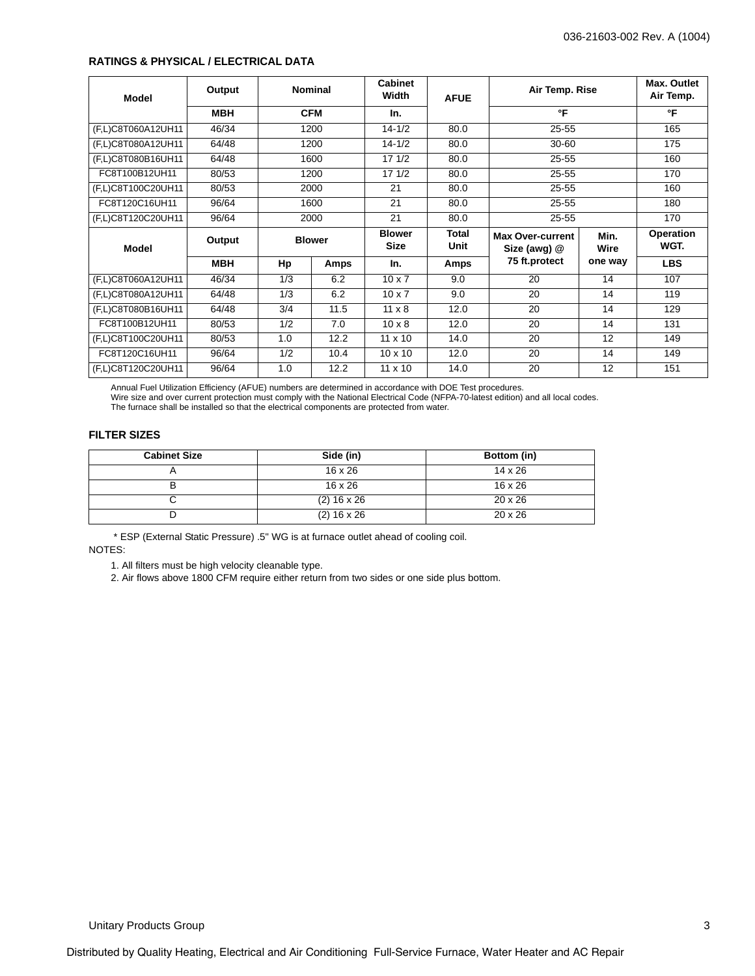#### **RATINGS & PHYSICAL / ELECTRICAL DATA**

| <b>Model</b>       | Output     |      | <b>Nominal</b> | <b>Cabinet</b><br>Width      | <b>AFUE</b>   | Air Temp. Rise                          |              | Max. Outlet<br>Air Temp. |
|--------------------|------------|------|----------------|------------------------------|---------------|-----------------------------------------|--------------|--------------------------|
|                    | <b>MBH</b> |      | <b>CFM</b>     | In.                          |               | °F                                      |              | °F                       |
| (F,L)C8T060A12UH11 | 46/34      |      | 1200           | $14 - 1/2$                   | 80.0          | 25-55                                   |              | 165                      |
| (F,L)C8T080A12UH11 | 64/48      |      | 1200           | $14 - 1/2$                   | 80.0          | 30-60                                   |              | 175                      |
| (F,L)C8T080B16UH11 | 64/48      |      | 1600           | 17 1/2                       | 80.0          | $25 - 55$                               |              | 160                      |
| FC8T100B12UH11     | 80/53      |      | 1200           | 171/2                        | 80.0          | $25 - 55$                               |              | 170                      |
| (F,L)C8T100C20UH11 | 80/53      |      | 2000           | 21                           | 80.0          | $25 - 55$                               |              | 160                      |
| FC8T120C16UH11     | 96/64      |      | 1600           |                              | 80.0          | 25-55                                   |              | 180                      |
| (F,L)C8T120C20UH11 | 96/64      | 2000 |                | 21                           | 80.0          | $25 - 55$                               |              | 170                      |
| <b>Model</b>       | Output     |      | <b>Blower</b>  | <b>Blower</b><br><b>Size</b> | Total<br>Unit | <b>Max Over-current</b><br>Size (awg) @ | Min.<br>Wire | Operation<br>WGT.        |
|                    | MBH        | Hp   | Amps           | In.                          | Amps          | 75 ft.protect                           | one way      | <b>LBS</b>               |
| (F,L)C8T060A12UH11 | 46/34      | 1/3  | 6.2            | $10 \times 7$                | 9.0           | 20                                      | 14           | 107                      |
| (F,L)C8T080A12UH11 | 64/48      | 1/3  | 6.2            | $10 \times 7$                | 9.0           | 20                                      | 14           | 119                      |
| (F,L)C8T080B16UH11 | 64/48      | 3/4  | 11.5           | $11 \times 8$                | 12.0          | 20                                      | 14           | 129                      |
| FC8T100B12UH11     | 80/53      | 1/2  | 7.0            | $10 \times 8$                | 12.0          | 20                                      | 14           | 131                      |
| (F,L)C8T100C20UH11 | 80/53      | 1.0  | 12.2           | $11 \times 10$               | 14.0          | 20                                      | 12           | 149                      |
| FC8T120C16UH11     | 96/64      | 1/2  | 10.4           | $10 \times 10$               | 12.0          | 20                                      | 14           | 149                      |
| (F,L)C8T120C20UH11 | 96/64      | 1.0  | 12.2           | $11 \times 10$               | 14.0          | 20                                      | 12           | 151                      |

Annual Fuel Utilization Efficiency (AFUE) numbers are determined in accordance with DOE Test procedures.<br>Wire size and over current protection must comply with the National Electrical Code (NFPA-70-latest edition) and all

The furnace shall be installed so that the electrical components are protected from water.

### **FILTER SIZES**

| <b>Cabinet Size</b> | Side (in)      | Bottom (in)    |
|---------------------|----------------|----------------|
|                     | $16 \times 26$ | $14 \times 26$ |
| ь                   | $16 \times 26$ | $16 \times 26$ |
|                     | $(2)$ 16 x 26  | $20 \times 26$ |
|                     | $(2)$ 16 x 26  | $20 \times 26$ |

 \* ESP (External Static Pressure) .5" WG is at furnace outlet ahead of cooling coil. NOTES:

1. All filters must be high velocity cleanable type.

2. Air flows above 1800 CFM require either return from two sides or one side plus bottom.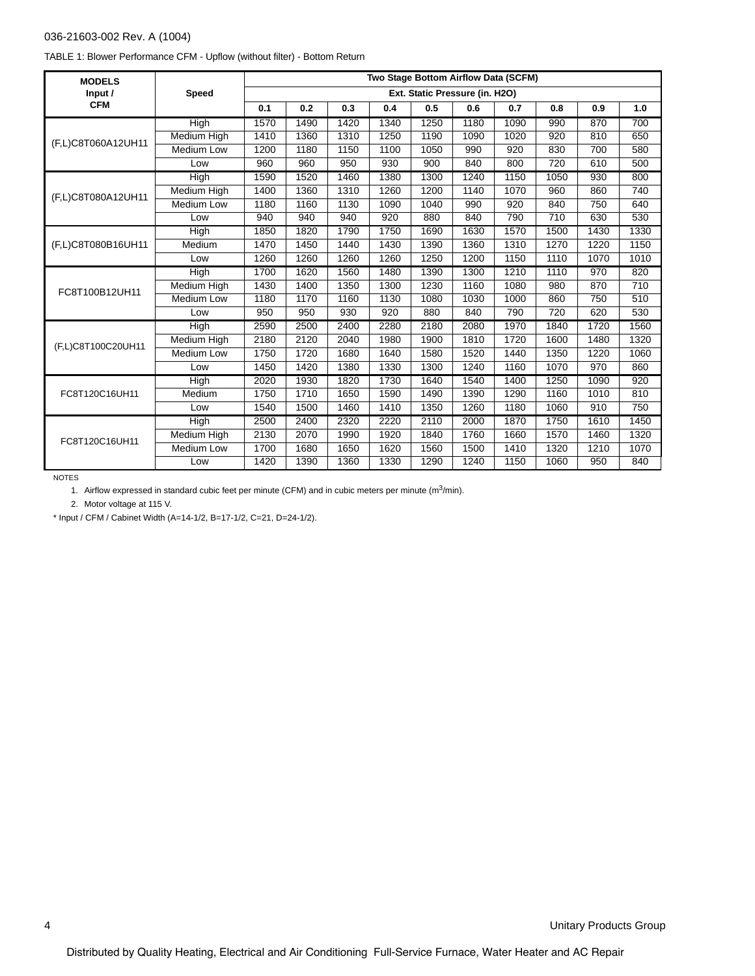#### 036-21603-002 Rev. A (1004)

|  |  | TABLE 1: Blower Performance CFM - Upflow (without filter) - Bottom Return |
|--|--|---------------------------------------------------------------------------|
|  |  |                                                                           |

| <b>MODELS</b>      |                    |      |      |      |      | Two Stage Bottom Airflow Data (SCFM) |      |      |      |      |      |
|--------------------|--------------------|------|------|------|------|--------------------------------------|------|------|------|------|------|
| Input /            | <b>Speed</b>       |      |      |      |      | Ext. Static Pressure (in. H2O)       |      |      |      |      |      |
| <b>CFM</b>         |                    | 0.1  | 0.2  | 0.3  | 0.4  | 0.5                                  | 0.6  | 0.7  | 0.8  | 0.9  | 1.0  |
|                    | High               | 1570 | 1490 | 1420 | 1340 | 1250                                 | 1180 | 1090 | 990  | 870  | 700  |
| (F,L)C8T060A12UH11 | Medium High        | 1410 | 1360 | 1310 | 1250 | 1190                                 | 1090 | 1020 | 920  | 810  | 650  |
|                    | <b>Medium Low</b>  | 1200 | 1180 | 1150 | 1100 | 1050                                 | 990  | 920  | 830  | 700  | 580  |
|                    | Low                | 960  | 960  | 950  | 930  | 900                                  | 840  | 800  | 720  | 610  | 500  |
|                    | High               | 1590 | 1520 | 1460 | 1380 | 1300                                 | 1240 | 1150 | 1050 | 930  | 800  |
| (F,L)C8T080A12UH11 | Medium High        | 1400 | 1360 | 1310 | 1260 | 1200                                 | 1140 | 1070 | 960  | 860  | 740  |
|                    | <b>Medium Low</b>  | 1180 | 1160 | 1130 | 1090 | 1040                                 | 990  | 920  | 840  | 750  | 640  |
|                    | Low                | 940  | 940  | 940  | 920  | 880                                  | 840  | 790  | 710  | 630  | 530  |
|                    | <b>High</b>        | 1850 | 1820 | 1790 | 1750 | 1690                                 | 1630 | 1570 | 1500 | 1430 | 1330 |
| (F,L)C8T080B16UH11 | Medium             | 1470 | 1450 | 1440 | 1430 | 1390                                 | 1360 | 1310 | 1270 | 1220 | 1150 |
|                    | Low                | 1260 | 1260 | 1260 | 1260 | 1250                                 | 1200 | 1150 | 1110 | 1070 | 1010 |
|                    | High               | 1700 | 1620 | 1560 | 1480 | 1390                                 | 1300 | 1210 | 1110 | 970  | 820  |
| FC8T100B12UH11     | <b>Medium High</b> | 1430 | 1400 | 1350 | 1300 | 1230                                 | 1160 | 1080 | 980  | 870  | 710  |
|                    | Medium Low         | 1180 | 1170 | 1160 | 1130 | 1080                                 | 1030 | 1000 | 860  | 750  | 510  |
|                    | Low                | 950  | 950  | 930  | 920  | 880                                  | 840  | 790  | 720  | 620  | 530  |
|                    | <b>High</b>        | 2590 | 2500 | 2400 | 2280 | 2180                                 | 2080 | 1970 | 1840 | 1720 | 1560 |
| (F,L)C8T100C20UH11 | Medium High        | 2180 | 2120 | 2040 | 1980 | 1900                                 | 1810 | 1720 | 1600 | 1480 | 1320 |
|                    | <b>Medium Low</b>  | 1750 | 1720 | 1680 | 1640 | 1580                                 | 1520 | 1440 | 1350 | 1220 | 1060 |
|                    | Low                | 1450 | 1420 | 1380 | 1330 | 1300                                 | 1240 | 1160 | 1070 | 970  | 860  |
|                    | <b>High</b>        | 2020 | 1930 | 1820 | 1730 | 1640                                 | 1540 | 1400 | 1250 | 1090 | 920  |
| FC8T120C16UH11     | Medium             | 1750 | 1710 | 1650 | 1590 | 1490                                 | 1390 | 1290 | 1160 | 1010 | 810  |
|                    | Low                | 1540 | 1500 | 1460 | 1410 | 1350                                 | 1260 | 1180 | 1060 | 910  | 750  |
|                    | High               | 2500 | 2400 | 2320 | 2220 | 2110                                 | 2000 | 1870 | 1750 | 1610 | 1450 |
| FC8T120C16UH11     | Medium High        | 2130 | 2070 | 1990 | 1920 | 1840                                 | 1760 | 1660 | 1570 | 1460 | 1320 |
|                    | <b>Medium Low</b>  | 1700 | 1680 | 1650 | 1620 | 1560                                 | 1500 | 1410 | 1320 | 1210 | 1070 |
|                    | Low                | 1420 | 1390 | 1360 | 1330 | 1290                                 | 1240 | 1150 | 1060 | 950  | 840  |

NOTES

1. Airflow expressed in standard cubic feet per minute (CFM) and in cubic meters per minute  $(m^3/min)$ .

2. Motor voltage at 115 V.

\* Input / CFM / Cabinet Width (A=14-1/2, B=17-1/2, C=21, D=24-1/2).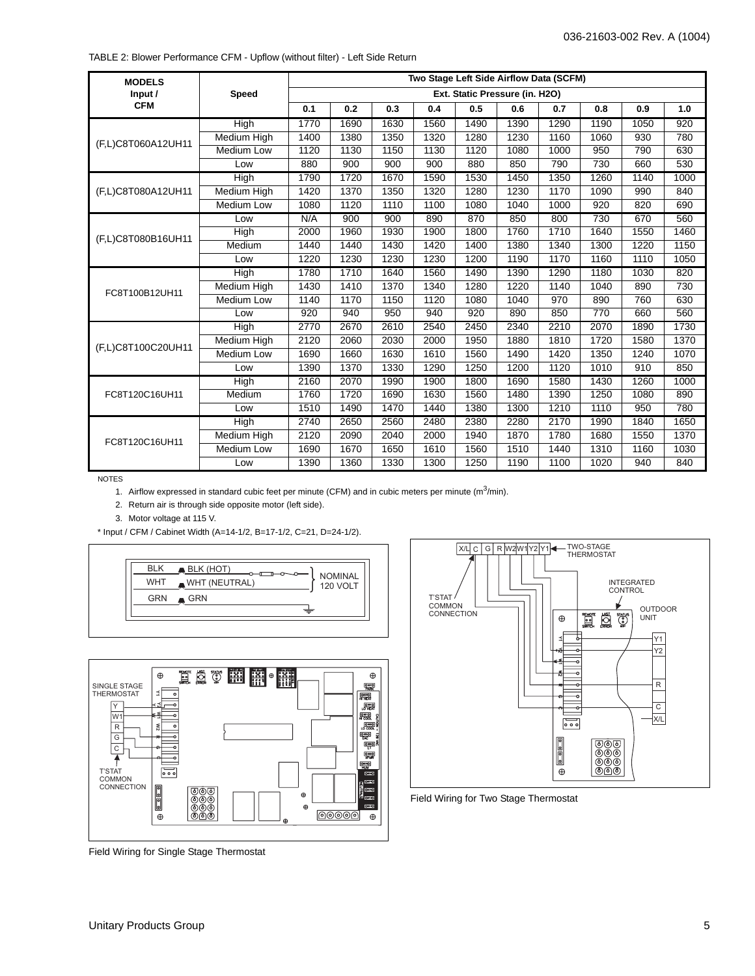| <b>MODELS</b>      |                    |      |      |      |      | Two Stage Left Side Airflow Data (SCFM) |      |      |      |      |      |
|--------------------|--------------------|------|------|------|------|-----------------------------------------|------|------|------|------|------|
| Input /            | <b>Speed</b>       |      |      |      |      | Ext. Static Pressure (in. H2O)          |      |      |      |      |      |
| <b>CFM</b>         |                    | 0.1  | 0.2  | 0.3  | 0.4  | 0.5                                     | 0.6  | 0.7  | 0.8  | 0.9  | 1.0  |
|                    | High               | 1770 | 1690 | 1630 | 1560 | 1490                                    | 1390 | 1290 | 1190 | 1050 | 920  |
|                    | <b>Medium High</b> | 1400 | 1380 | 1350 | 1320 | 1280                                    | 1230 | 1160 | 1060 | 930  | 780  |
| (F,L)C8T060A12UH11 | <b>Medium Low</b>  | 1120 | 1130 | 1150 | 1130 | 1120                                    | 1080 | 1000 | 950  | 790  | 630  |
|                    | Low                | 880  | 900  | 900  | 900  | 880                                     | 850  | 790  | 730  | 660  | 530  |
|                    | <b>High</b>        | 1790 | 1720 | 1670 | 1590 | 1530                                    | 1450 | 1350 | 1260 | 1140 | 1000 |
| (F,L)C8T080A12UH11 | Medium High        | 1420 | 1370 | 1350 | 1320 | 1280                                    | 1230 | 1170 | 1090 | 990  | 840  |
|                    | <b>Medium Low</b>  | 1080 | 1120 | 1110 | 1100 | 1080                                    | 1040 | 1000 | 920  | 820  | 690  |
|                    | Low                | N/A  | 900  | 900  | 890  | 870                                     | 850  | 800  | 730  | 670  | 560  |
| (F,L)C8T080B16UH11 | High               | 2000 | 1960 | 1930 | 1900 | 1800                                    | 1760 | 1710 | 1640 | 1550 | 1460 |
|                    | Medium             | 1440 | 1440 | 1430 | 1420 | 1400                                    | 1380 | 1340 | 1300 | 1220 | 1150 |
|                    | Low                | 1220 | 1230 | 1230 | 1230 | 1200                                    | 1190 | 1170 | 1160 | 1110 | 1050 |
|                    | High               | 1780 | 1710 | 1640 | 1560 | 1490                                    | 1390 | 1290 | 1180 | 1030 | 820  |
| FC8T100B12UH11     | Medium High        | 1430 | 1410 | 1370 | 1340 | 1280                                    | 1220 | 1140 | 1040 | 890  | 730  |
|                    | Medium Low         | 1140 | 1170 | 1150 | 1120 | 1080                                    | 1040 | 970  | 890  | 760  | 630  |
|                    | Low                | 920  | 940  | 950  | 940  | 920                                     | 890  | 850  | 770  | 660  | 560  |
|                    | <b>High</b>        | 2770 | 2670 | 2610 | 2540 | 2450                                    | 2340 | 2210 | 2070 | 1890 | 1730 |
| (F,L)C8T100C20UH11 | <b>Medium High</b> | 2120 | 2060 | 2030 | 2000 | 1950                                    | 1880 | 1810 | 1720 | 1580 | 1370 |
|                    | Medium Low         | 1690 | 1660 | 1630 | 1610 | 1560                                    | 1490 | 1420 | 1350 | 1240 | 1070 |
|                    | Low                | 1390 | 1370 | 1330 | 1290 | 1250                                    | 1200 | 1120 | 1010 | 910  | 850  |
|                    | <b>High</b>        | 2160 | 2070 | 1990 | 1900 | 1800                                    | 1690 | 1580 | 1430 | 1260 | 1000 |
| FC8T120C16UH11     | Medium             | 1760 | 1720 | 1690 | 1630 | 1560                                    | 1480 | 1390 | 1250 | 1080 | 890  |
|                    | Low                | 1510 | 1490 | 1470 | 1440 | 1380                                    | 1300 | 1210 | 1110 | 950  | 780  |
|                    | <b>High</b>        | 2740 | 2650 | 2560 | 2480 | 2380                                    | 2280 | 2170 | 1990 | 1840 | 1650 |
| FC8T120C16UH11     | Medium High        | 2120 | 2090 | 2040 | 2000 | 1940                                    | 1870 | 1780 | 1680 | 1550 | 1370 |
|                    | <b>Medium Low</b>  | 1690 | 1670 | 1650 | 1610 | 1560                                    | 1510 | 1440 | 1310 | 1160 | 1030 |
|                    | Low                | 1390 | 1360 | 1330 | 1300 | 1250                                    | 1190 | 1100 | 1020 | 940  | 840  |

NOTES

1. Airflow expressed in standard cubic feet per minute (CFM) and in cubic meters per minute (m<sup>3</sup>/min).

2. Return air is through side opposite motor (left side).

3. Motor voltage at 115 V.

\* Input / CFM / Cabinet Width (A=14-1/2, B=17-1/2, C=21, D=24-1/2).







Field Wiring for Two Stage Thermostat

Field Wiring for Single Stage Thermostat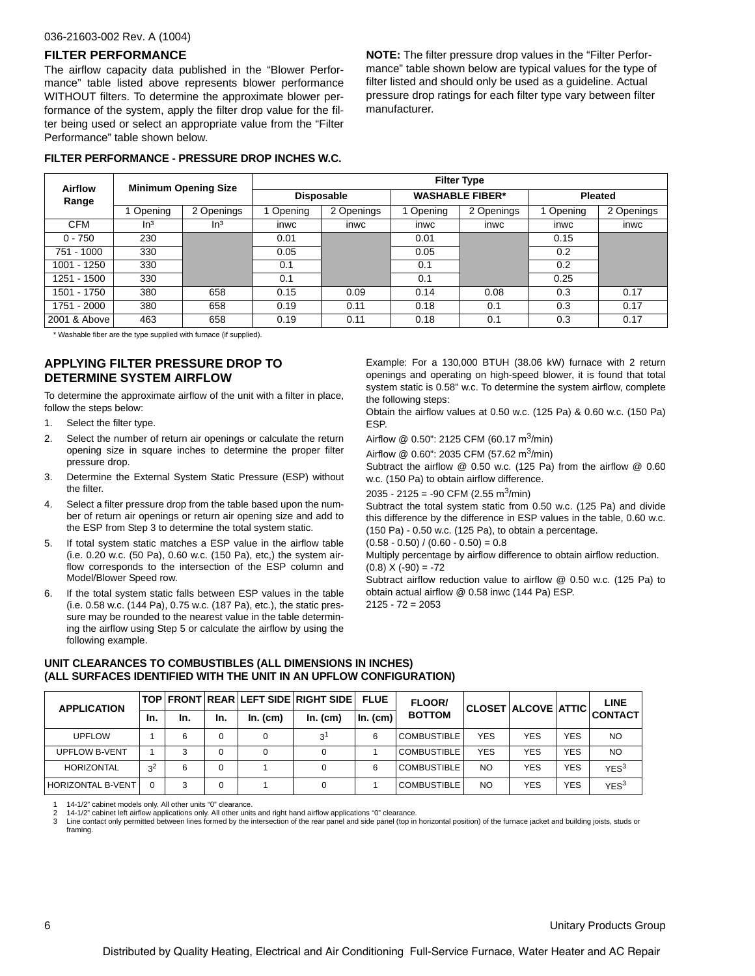#### 036-21603-002 Rev. A (1004)

#### **FILTER PERFORMANCE**

The airflow capacity data published in the "Blower Performance" table listed above represents blower performance WITHOUT filters. To determine the approximate blower performance of the system, apply the filter drop value for the filter being used or select an appropriate value from the "Filter Performance" table shown below.

**NOTE:** The filter pressure drop values in the "Filter Performance" table shown below are typical values for the type of filter listed and should only be used as a guideline. Actual pressure drop ratings for each filter type vary between filter manufacturer.

| <b>Airflow</b> |                 | <b>Minimum Opening Size</b> | <b>Filter Type</b> |                   |                        |             |                |             |  |  |
|----------------|-----------------|-----------------------------|--------------------|-------------------|------------------------|-------------|----------------|-------------|--|--|
| Range          |                 |                             |                    | <b>Disposable</b> | <b>WASHABLE FIBER*</b> |             | <b>Pleated</b> |             |  |  |
|                | Opening         | : Openings                  | Opening            | 2 Openings        | Opening                | 2 Openings  | Opening        | 2 Openings  |  |  |
| CFM            | ln <sup>3</sup> | ln <sup>3</sup>             | <b>INWC</b>        | <b>INWC</b>       | <b>INWC</b>            | <b>INWC</b> | <b>INWC</b>    | <b>INWC</b> |  |  |

0 - 750 | 230 | 0.01 | 0.01 | 0.01 | 0.01 | 0.15 751 - 1000 | 330 | | 0.05 | | 0.05 | 0.05 | | 0.2 1001 - 1250 | 330 | 0.1 | 0.1 | 0.1 | 0.2 | 0.2 1251 - 1500 | 330 | | 0.1 | | 0.1 | 0.1 | 0.25

1501 - 1750 | 380 | 658 | 0.15 | 0.09 | 0.14 | 0.08 | 0.3 | 0.17 1751 - 2000 | 380 | 658 | 0.19 | 0.11 | 0.18 | 0.1 | 0.3 | 0.17 2001 & Above | 463 | 658 | 0.19 | 0.11 | 0.18 | 0.1 | 0.3 | 0.17

#### **FILTER PERFORMANCE - PRESSURE DROP INCHES W.C.**

\* Washable fiber are the type supplied with furnace (if supplied).

#### **APPLYING FILTER PRESSURE DROP TO DETERMINE SYSTEM AIRFLOW**

To determine the approximate airflow of the unit with a filter in place, follow the steps below:

- 1. Select the filter type.
- 2. Select the number of return air openings or calculate the return opening size in square inches to determine the proper filter pressure drop.
- 3. Determine the External System Static Pressure (ESP) without the filter.
- 4. Select a filter pressure drop from the table based upon the number of return air openings or return air opening size and add to the ESP from Step 3 to determine the total system static.
- 5. If total system static matches a ESP value in the airflow table (i.e. 0.20 w.c. (50 Pa), 0.60 w.c. (150 Pa), etc,) the system airflow corresponds to the intersection of the ESP column and Model/Blower Speed row.
- 6. If the total system static falls between ESP values in the table (i.e. 0.58 w.c. (144 Pa), 0.75 w.c. (187 Pa), etc.), the static pressure may be rounded to the nearest value in the table determining the airflow using Step 5 or calculate the airflow by using the following example.

Example: For a 130,000 BTUH (38.06 kW) furnace with 2 return openings and operating on high-speed blower, it is found that total system static is 0.58" w.c. To determine the system airflow, complete the following steps:

Obtain the airflow values at 0.50 w.c. (125 Pa) & 0.60 w.c. (150 Pa) ESP.

Airflow  $@$  0.50": 2125 CFM (60.17 m<sup>3</sup>/min)

Airflow @ 0.60": 2035 CFM (57.62 m<sup>3</sup>/min)

Subtract the airflow @ 0.50 w.c. (125 Pa) from the airflow @ 0.60 w.c. (150 Pa) to obtain airflow difference.

2035 - 2125 = -90 CFM (2.55 m<sup>3</sup>/min)

Subtract the total system static from 0.50 w.c. (125 Pa) and divide this difference by the difference in ESP values in the table, 0.60 w.c. (150 Pa) - 0.50 w.c. (125 Pa), to obtain a percentage.

 $(0.58 - 0.50) / (0.60 - 0.50) = 0.8$ 

Multiply percentage by airflow difference to obtain airflow reduction.  $(0.8) X (-90) = -72$ 

Subtract airflow reduction value to airflow @ 0.50 w.c. (125 Pa) to obtain actual airflow @ 0.58 inwc (144 Pa) ESP.  $2125 - 72 = 2053$ 

**UNIT CLEARANCES TO COMBUSTIBLES (ALL DIMENSIONS IN INCHES) (ALL SURFACES IDENTIFIED WITH THE UNIT IN AN UPFLOW CONFIGURATION)**

| <b>APPLICATION</b>       |                |     |          |          | TOP FRONT REAR LEFT SIDE RIGHT SIDE | <b>FLUE</b>  | <b>FLOOR/</b>      |            | CLOSET ALCOVE ATTIC |            | LINE             |
|--------------------------|----------------|-----|----------|----------|-------------------------------------|--------------|--------------------|------------|---------------------|------------|------------------|
|                          | In.            | In. | In.      | In. (cm) | In. (cm)                            | $\ln$ . (cm) | <b>BOTTOM</b>      |            |                     |            | <b>CONTACT</b>   |
| <b>UPFLOW</b>            |                | 6   | 0        |          | ا 3                                 | 6            | <b>COMBUSTIBLE</b> | <b>YES</b> | YES                 | <b>YES</b> | NO.              |
| <b>UPFLOW B-VENT</b>     |                |     | 0        |          |                                     |              | <b>COMBUSTIBLE</b> | <b>YES</b> | YES                 | <b>YES</b> | <b>NO</b>        |
| <b>HORIZONTAL</b>        | 3 <sup>2</sup> | 6   | $\Omega$ |          |                                     | 6            | <b>COMBUSTIBLE</b> | NO.        | <b>YES</b>          | <b>YES</b> | YES <sup>3</sup> |
| <b>HORIZONTAL B-VENT</b> |                | 3   | $\Omega$ |          |                                     |              | <b>COMBUSTIBLE</b> | NO.        | YES                 | <b>YES</b> | YES <sup>3</sup> |

1 14-1/2" cabinet models only. All other units "0" clearance.<br>2 14-1/2" cabinet left airflow applications only. All other units

2 14-1/2" cabinet left airflow applications only. All other units and right hand airflow applications "0" clearance.

3 Line contact only permitted between lines formed by the intersection of the rear panel and side panel (top in horizontal position) of the furnace jacket and building joists, studs or framing.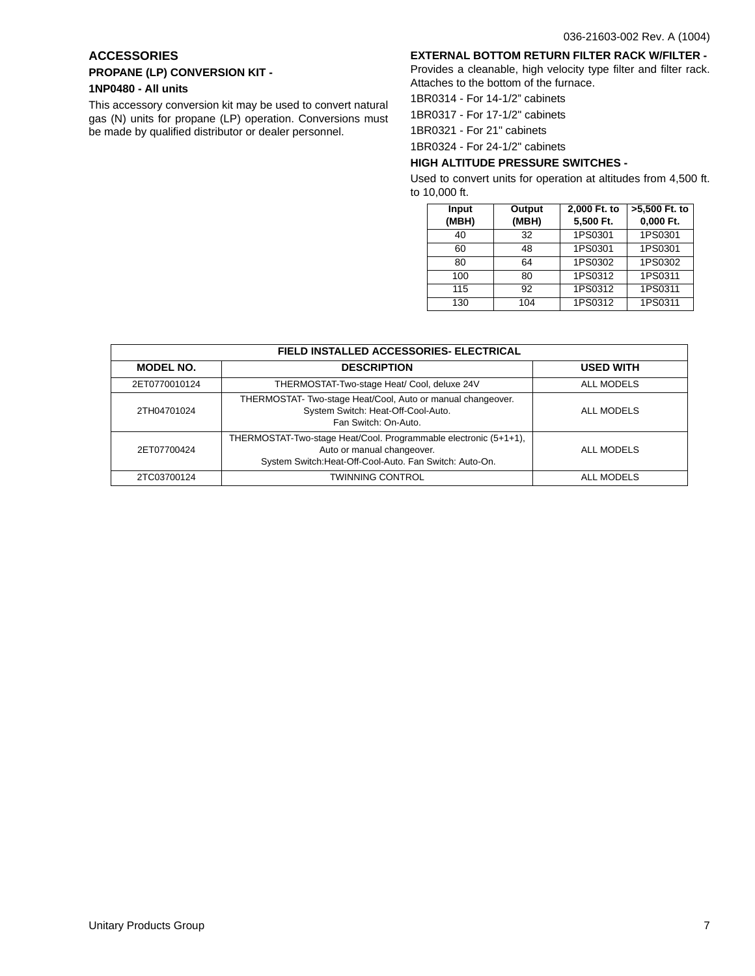## **ACCESSORIES**

# **PROPANE (LP) CONVERSION KIT -**

## **1NP0480 - All units**

This accessory conversion kit may be used to convert natural gas (N) units for propane (LP) operation. Conversions must be made by qualified distributor or dealer personnel.

### **EXTERNAL BOTTOM RETURN FILTER RACK W/FILTER -**

Provides a cleanable, high velocity type filter and filter rack. Attaches to the bottom of the furnace.

1BR0314 - For 14-1/2" cabinets

1BR0317 - For 17-1/2" cabinets

1BR0321 - For 21" cabinets

1BR0324 - For 24-1/2" cabinets

## **HIGH ALTITUDE PRESSURE SWITCHES -**

Used to convert units for operation at altitudes from 4,500 ft. to 10,000 ft.

| Input<br>(MBH) | Output<br>(MBH) | 2,000 Ft. to<br>5,500 Ft. | >5,500 Ft. to<br>0,000 Ft. |
|----------------|-----------------|---------------------------|----------------------------|
| 40             | 32              | 1PS0301                   | 1PS0301                    |
| 60             | 48              | 1PS0301                   | 1PS0301                    |
| 80             | 64              | 1PS0302                   | 1PS0302                    |
| 100            | 80              | 1PS0312                   | 1PS0311                    |
| 115            | 92              | 1PS0312                   | 1PS0311                    |
| 130            | 104             | 1PS0312                   | 1PS0311                    |

| <b>FIELD INSTALLED ACCESSORIES- ELECTRICAL</b> |                                                                                                                                                           |                   |  |  |  |  |  |  |
|------------------------------------------------|-----------------------------------------------------------------------------------------------------------------------------------------------------------|-------------------|--|--|--|--|--|--|
| <b>MODEL NO.</b>                               | <b>DESCRIPTION</b>                                                                                                                                        | <b>USED WITH</b>  |  |  |  |  |  |  |
| 2ET0770010124                                  | THERMOSTAT-Two-stage Heat/ Cool, deluxe 24V                                                                                                               | <b>ALL MODELS</b> |  |  |  |  |  |  |
| 2TH04701024                                    | THERMOSTAT- Two-stage Heat/Cool, Auto or manual changeover.<br>System Switch: Heat-Off-Cool-Auto.<br>Fan Switch: On-Auto.                                 | ALL MODELS        |  |  |  |  |  |  |
| 2ET07700424                                    | THERMOSTAT-Two-stage Heat/Cool. Programmable electronic (5+1+1),<br>Auto or manual changeover.<br>System Switch: Heat-Off-Cool-Auto. Fan Switch: Auto-On. | ALL MODELS        |  |  |  |  |  |  |
| 2TC03700124                                    | <b>TWINNING CONTROL</b>                                                                                                                                   | <b>ALL MODELS</b> |  |  |  |  |  |  |